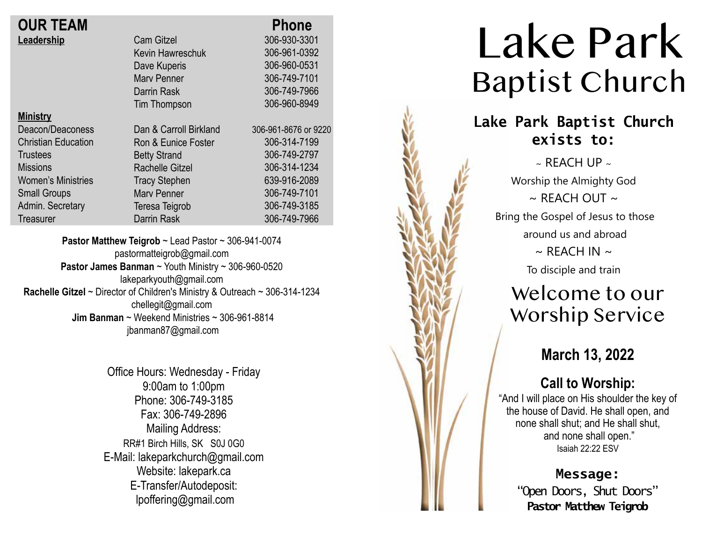| <b>OUR TEAM</b>            |                        | <b>Phone</b>         |
|----------------------------|------------------------|----------------------|
| Leadership                 | <b>Cam Gitzel</b>      | 306-930-3301         |
|                            | Kevin Hawreschuk       | 306-961-0392         |
|                            | Dave Kuperis           | 306-960-0531         |
|                            | <b>Mary Penner</b>     | 306-749-7101         |
|                            | Darrin Rask            | 306-749-7966         |
|                            | Tim Thompson           | 306-960-8949         |
| <b>Ministry</b>            |                        |                      |
| Deacon/Deaconess           | Dan & Carroll Birkland | 306-961-8676 or 9220 |
| <b>Christian Education</b> | Ron & Eunice Foster    | 306-314-7199         |
| <b>Trustees</b>            | <b>Betty Strand</b>    | 306-749-2797         |
| <b>Missions</b>            | <b>Rachelle Gitzel</b> | 306-314-1234         |
| <b>Women's Ministries</b>  | <b>Tracy Stephen</b>   | 639-916-2089         |
| <b>Small Groups</b>        | <b>Mary Penner</b>     | 306-749-7101         |
| Admin. Secretary           | Teresa Teigrob         | 306-749-3185         |
| Treasurer                  | <b>Darrin Rask</b>     | 306-749-7966         |

**Pastor Matthew Teigrob** ~ Lead Pastor ~ 306-941-0074 pastormatteigrob@gmail.com **Pastor James Banman** ~ Youth Ministry ~ 306-960-0520 lakeparkyouth@gmail.com **Rachelle Gitzel** ~ Director of Children's Ministry & Outreach ~ 306-314-1234 chellegit@gmail.com  **Jim Banman** ~ Weekend Ministries ~ 306-961-8814 jbanman87@gmail.com

> Office Hours: Wednesday - Friday 9:00am to 1:00pm Phone: 306-749-3185 Fax: 306-749-2896 Mailing Address: RR#1 Birch Hills, SK S0J 0G0 E-Mail: lakeparkchurch@gmail.com Website: lakepark.ca E-Transfer/Autodeposit: lpoffering@gmail.com